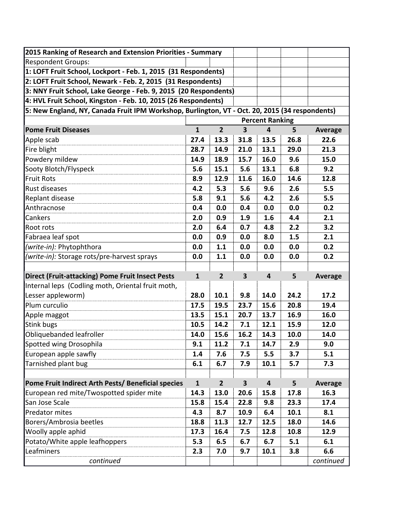| 2015 Ranking of Research and Extension Priorities - Summary                                    |                        |                |                         |                         |      |                |  |
|------------------------------------------------------------------------------------------------|------------------------|----------------|-------------------------|-------------------------|------|----------------|--|
| <b>Respondent Groups:</b>                                                                      |                        |                |                         |                         |      |                |  |
| 1: LOFT Fruit School, Lockport - Feb. 1, 2015 (31 Respondents)                                 |                        |                |                         |                         |      |                |  |
| 2: LOFT Fruit School, Newark - Feb. 2, 2015 (31 Respondents)                                   |                        |                |                         |                         |      |                |  |
| 3: NNY Fruit School, Lake George - Feb. 9, 2015 (20 Respondents)                               |                        |                |                         |                         |      |                |  |
| 4: HVL Fruit School, Kingston - Feb. 10, 2015 (26 Respondents)                                 |                        |                |                         |                         |      |                |  |
| 5: New England, NY, Canada Fruit IPM Workshop, Burlington, VT - Oct. 20, 2015 (34 respondents) |                        |                |                         |                         |      |                |  |
|                                                                                                | <b>Percent Ranking</b> |                |                         |                         |      |                |  |
| <b>Pome Fruit Diseases</b>                                                                     | $\mathbf{1}$           | $\overline{2}$ | $\overline{\mathbf{3}}$ | 4                       | 5    | <b>Average</b> |  |
| Apple scab                                                                                     | 27.4                   | 13.3           | 31.8                    | 13.5                    | 26.8 | 22.6           |  |
| Fire blight                                                                                    | 28.7                   | 14.9           | 21.0                    | 13.1                    | 29.0 | 21.3           |  |
| Powdery mildew                                                                                 | 14.9                   | 18.9           | 15.7                    | 16.0                    | 9.6  | 15.0           |  |
| Sooty Blotch/Flyspeck                                                                          | 5.6                    | 15.1           | 5.6                     | 13.1                    | 6.8  | 9.2            |  |
| <b>Fruit Rots</b>                                                                              | 8.9                    | 12.9           | 11.6                    | 16.0                    | 14.6 | 12.8           |  |
| Rust diseases                                                                                  | 4.2                    | 5.3            | 5.6                     | 9.6                     | 2.6  | 5.5            |  |
| Replant disease                                                                                | 5.8                    | 9.1            | 5.6                     | 4.2                     | 2.6  | 5.5            |  |
| Anthracnose                                                                                    | 0.4                    | 0.0            | 0.4                     | 0.0                     | 0.0  | 0.2            |  |
| Cankers                                                                                        | 2.0                    | 0.9            | 1.9                     | 1.6                     | 4.4  | 2.1            |  |
| Root rots                                                                                      | 2.0                    | 6.4            | 0.7                     | 4.8                     | 2.2  | 3.2            |  |
| Fabraea leaf spot                                                                              | 0.0                    | 0.9            | 0.0                     | 8.0                     | 1.5  | 2.1            |  |
| (write-in): Phytophthora                                                                       | 0.0                    | 1.1            | 0.0                     | 0.0                     | 0.0  | 0.2            |  |
| (write-in): Storage rots/pre-harvest sprays                                                    | 0.0                    | 1.1            | 0.0                     | 0.0                     | 0.0  | 0.2            |  |
|                                                                                                |                        |                |                         |                         |      |                |  |
| <b>Direct (Fruit-attacking) Pome Fruit Insect Pests</b>                                        | $\mathbf{1}$           | $\overline{2}$ | $\overline{\mathbf{3}}$ | $\overline{\mathbf{4}}$ | 5    | <b>Average</b> |  |
| Internal leps (Codling moth, Oriental fruit moth,                                              |                        |                |                         |                         |      |                |  |
| Lesser appleworm)                                                                              | 28.0                   | 10.1           | 9.8                     | 14.0                    | 24.2 | 17.2           |  |
| Plum curculio                                                                                  | 17.5                   | 19.5           | 23.7                    | 15.6                    | 20.8 | 19.4           |  |
| Apple maggot                                                                                   | 13.5                   | 15.1           | 20.7                    | 13.7                    | 16.9 | 16.0           |  |
| <b>Stink bugs</b>                                                                              | 10.5                   | 14.2           | 7.1                     | 12.1                    | 15.9 | 12.0           |  |
| Obliquebanded leafroller                                                                       | 14.0                   | 15.6           | 16.2                    | 14.3                    | 10.0 | 14.0           |  |
| Spotted wing Drosophila                                                                        | 9.1                    | 11.2           | 7.1                     | 14.7                    | 2.9  | 9.0            |  |
| European apple sawfly                                                                          | 1.4                    | 7.6            | 7.5                     | 5.5                     | 3.7  | 5.1            |  |
| Tarnished plant bug                                                                            | 6.1                    | 6.7            | 7.9                     | 10.1                    | 5.7  | 7.3            |  |
|                                                                                                |                        |                |                         |                         |      |                |  |
| Pome Fruit Indirect Arth Pests/ Beneficial species                                             | $\mathbf{1}$           | $\overline{2}$ | $\overline{\mathbf{3}}$ | $\overline{\mathbf{4}}$ | 5    | <b>Average</b> |  |
| European red mite/Twospotted spider mite                                                       | 14.3                   | 13.0           | 20.6                    | 15.8                    | 17.8 | 16.3           |  |
| San Jose Scale                                                                                 | 15.8                   | 15.4           | 22.8                    | 9.8                     | 23.3 | 17.4           |  |
| Predator mites                                                                                 | 4.3                    | 8.7            | 10.9                    | 6.4                     | 10.1 | 8.1            |  |
| Borers/Ambrosia beetles                                                                        | 18.8                   | 11.3           | 12.7                    | 12.5                    | 18.0 | 14.6           |  |
| Woolly apple aphid                                                                             | 17.3                   | 16.4           | 7.5                     | 12.8                    | 10.8 | 12.9           |  |
| Potato/White apple leafhoppers                                                                 | 5.3                    | 6.5            | 6.7                     | 6.7                     | 5.1  | 6.1            |  |
| Leafminers                                                                                     | 2.3                    | 7.0            | 9.7                     | 10.1                    | 3.8  | 6.6            |  |
| continued                                                                                      |                        |                |                         |                         |      | continued      |  |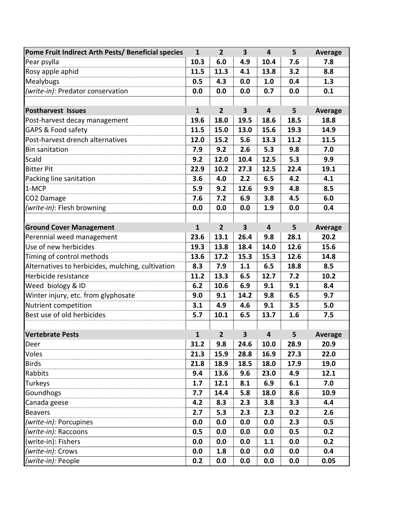| Pome Fruit Indirect Arth Pests/ Beneficial species | $\mathbf{1}$ | $\overline{2}$ | $\overline{\mathbf{3}}$ | 4                       | 5    | <b>Average</b> |
|----------------------------------------------------|--------------|----------------|-------------------------|-------------------------|------|----------------|
| Pear psylla                                        | 10.3         | 6.0            | 4.9                     | 10.4                    | 7.6  | 7.8            |
| Rosy apple aphid                                   | 11.5         | 11.3           | 4.1                     | 13.8                    | 3.2  | 8.8            |
| Mealybugs                                          | 0.5          | 4.3            | 0.0                     | 1.0                     | 0.4  | 1.3            |
| (write-in): Predator conservation                  | 0.0          | 0.0            | 0.0                     | 0.7                     | 0.0  | 0.1            |
|                                                    |              |                |                         |                         |      |                |
| <b>Postharvest Issues</b>                          | $\mathbf{1}$ | $\overline{2}$ | $\overline{\mathbf{3}}$ | $\overline{\mathbf{4}}$ | 5    | <b>Average</b> |
| Post-harvest decay management                      | 19.6         | 18.0           | 19.5                    | 18.6                    | 18.5 | 18.8           |
| GAPS & Food safety                                 | 11.5         | 15.0           | 13.0                    | 15.6                    | 19.3 | 14.9           |
| Post-harvest drench alternatives                   | 12.0         | 15.2           | 5.6                     | 13.3                    | 11.2 | 11.5           |
| <b>Bin sanitation</b>                              | 7.9          | 9.2            | 2.6                     | 5.3                     | 9.8  | 7.0            |
| Scald                                              | 9.2          | 12.0           | 10.4                    | 12.5                    | 5.3  | 9.9            |
| <b>Bitter Pit</b>                                  | 22.9         | 10.2           | 27.3                    | 12.5                    | 22.4 | 19.1           |
| Packing line sanitation                            | 3.6          | 4.0            | 2.2                     | 6.5                     | 4.2  | 4.1            |
| 1-MCP                                              | 5.9          | 9.2            | 12.6                    | 9.9                     | 4.8  | 8.5            |
| CO2 Damage                                         | 7.6          | 7.2            | 6.9                     | 3.8                     | 4.5  | 6.0            |
| (write-in): Flesh browning                         | 0.0          | 0.0            | 0.0                     | 1.9                     | 0.0  | 0.4            |
|                                                    |              |                |                         |                         |      |                |
| <b>Ground Cover Management</b>                     | $\mathbf{1}$ | $\overline{2}$ | $\overline{\mathbf{3}}$ | $\overline{\mathbf{4}}$ | 5    | <b>Average</b> |
| Perennial weed management                          | 23.6         | 13.1           | 26.4                    | 9.8                     | 28.1 | 20.2           |
| Use of new herbicides                              | 19.3         | 13.8           | 18.4                    | 14.0                    | 12.6 | 15.6           |
| Timing of control methods                          | 13.6         | 17.2           | 15.3                    | 15.3                    | 12.6 | 14.8           |
| Alternatives to herbicides, mulching, cultivation  | 8.3          | 7.9            | 1.1                     | 6.5                     | 18.8 | 8.5            |
| Herbicide resistance                               | 11.2         | 13.3           | 6.5                     | 12.7                    | 7.2  | 10.2           |
| Weed biology & ID                                  | 6.2          | 10.6           | 6.9                     | 9.1                     | 9.1  | 8.4            |
| Winter injury, etc. from glyphosate                | 9.0          | 9.1            | 14.2                    | 9.8                     | 6.5  | 9.7            |
| Nutrient competition                               | 3.1          | 4.9            | 4.6                     | 9.1                     | 3.5  | 5.0            |
| Best use of old herbicides                         | 5.7          | 10.1           | 6.5                     | 13.7                    | 1.6  | 7.5            |
|                                                    |              |                |                         |                         |      |                |
| Vertebrate Pests                                   | $\mathbf{1}$ | $\overline{2}$ | $\overline{\mathbf{3}}$ | 4                       | 5    | <b>Average</b> |
| Deer                                               | 31.2         | 9.8            | 24.6                    | 10.0                    | 28.9 | 20.9           |
| Voles                                              | 21.3         | 15.9           | 28.8                    | 16.9                    | 27.3 | 22.0           |
| <b>Birds</b>                                       | 21.8         | 18.9           | 18.5                    | 18.0                    | 17.9 | 19.0           |
| Rabbits                                            | 9.4          | 13.6           | 9.6                     | 23.0                    | 4.9  | 12.1           |
| Turkeys                                            | 1.7          | 12.1           | 8.1                     | 6.9                     | 6.1  | 7.0            |
| Goundhogs                                          | 7.7          | 14.4           | 5.8                     | 18.0                    | 8.6  | 10.9           |
| Canada geese                                       | 4.2          | 8.3            | 2.3                     | 3.8                     | 3.3  | 4.4            |
| <b>Beavers</b>                                     | 2.7          | 5.3            | 2.3                     | 2.3                     | 0.2  | 2.6            |
| (write-in): Porcupines                             | 0.0          | 0.0            | 0.0                     | 0.0                     | 2.3  | 0.5            |
| (write-in): Raccoons                               | 0.5          | 0.0            | 0.0                     | 0.0                     | 0.5  | 0.2            |
| (write-in): Fishers                                | 0.0          | 0.0            | 0.0                     | 1.1                     | 0.0  | 0.2            |
| (write-in): Crows                                  | 0.0          | 1.8            | 0.0                     | 0.0                     | 0.0  | 0.4            |
| (write-in): People                                 | 0.2          | 0.0            | 0.0                     | 0.0                     | 0.0  | 0.05           |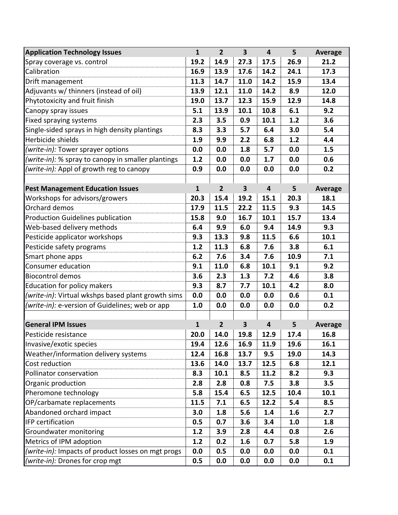| <b>Application Technology Issues</b>               | $\mathbf{1}$ | $\overline{2}$ | $\overline{\mathbf{3}}$ | 4                       | 5    | <b>Average</b> |
|----------------------------------------------------|--------------|----------------|-------------------------|-------------------------|------|----------------|
| Spray coverage vs. control                         | 19.2         | 14.9           | 27.3                    | 17.5                    | 26.9 | 21.2           |
| Calibration                                        | 16.9         | 13.9           | 17.6                    | 14.2                    | 24.1 | 17.3           |
| Drift management                                   | 11.3         | 14.7           | 11.0                    | 14.2                    | 15.9 | 13.4           |
| Adjuvants w/ thinners (instead of oil)             | 13.9         | 12.1           | 11.0                    | 14.2                    | 8.9  | 12.0           |
| Phytotoxicity and fruit finish                     | 19.0         | 13.7           | 12.3                    | 15.9                    | 12.9 | 14.8           |
| Canopy spray issues                                | 5.1          | 13.9           | 10.1                    | 10.8                    | 6.1  | 9.2            |
| Fixed spraying systems                             | 2.3          | 3.5            | 0.9                     | 10.1                    | 1.2  | 3.6            |
| Single-sided sprays in high density plantings      | 8.3          | 3.3            | 5.7                     | 6.4                     | 3.0  | 5.4            |
| Herbicide shields                                  | 1.9          | 9.9            | 2.2                     | 6.8                     | 1.2  | 4.4            |
| (write-in): Tower sprayer options                  | 0.0          | 0.0            | 1.8                     | 5.7                     | 0.0  | 1.5            |
| (write-in): % spray to canopy in smaller plantings | 1.2          | 0.0            | 0.0                     | 1.7                     | 0.0  | 0.6            |
| (write-in): Appl of growth reg to canopy           | 0.9          | 0.0            | 0.0                     | 0.0                     | 0.0  | 0.2            |
|                                                    |              |                |                         |                         |      |                |
| <b>Pest Management Education Issues</b>            | $\mathbf{1}$ | $\overline{2}$ | $\overline{\mathbf{3}}$ | $\overline{\mathbf{4}}$ | 5    | <b>Average</b> |
| Workshops for advisors/growers                     | 20.3         | 15.4           | 19.2                    | 15.1                    | 20.3 | 18.1           |
| Orchard demos                                      | 17.9         | 11.5           | 22.2                    | 11.5                    | 9.3  | 14.5           |
| <b>Production Guidelines publication</b>           | 15.8         | 9.0            | 16.7                    | 10.1                    | 15.7 | 13.4           |
| Web-based delivery methods                         | 6.4          | 9.9            | 6.0                     | 9.4                     | 14.9 | 9.3            |
| Pesticide applicator workshops                     | 9.3          | 13.3           | 9.8                     | 11.5                    | 6.6  | 10.1           |
| Pesticide safety programs                          | 1.2          | 11.3           | 6.8                     | 7.6                     | 3.8  | 6.1            |
| Smart phone apps                                   | 6.2          | 7.6            | 3.4                     | 7.6                     | 10.9 | 7.1            |
| Consumer education                                 | 9.1          | 11.0           | 6.8                     | 10.1                    | 9.1  | 9.2            |
| <b>Biocontrol demos</b>                            | 3.6          | 2.3            | 1.3                     | 7.2                     | 4.6  | 3.8            |
| <b>Education for policy makers</b>                 | 9.3          | 8.7            | 7.7                     | 10.1                    | 4.2  | 8.0            |
| (write-in): Virtual wkshps based plant growth sims | 0.0          | 0.0            | 0.0                     | 0.0                     | 0.6  | 0.1            |
| (write-in): e-version of Guidelines; web or app    | 1.0          | 0.0            | 0.0                     | 0.0                     | 0.0  | 0.2            |
|                                                    |              |                |                         |                         |      |                |
| <b>General IPM Issues</b>                          | $\mathbf{1}$ | $\overline{2}$ | $\overline{\mathbf{3}}$ | 4                       | 5    | <b>Average</b> |
| Pesticide resistance                               | 20.0         | 14.0           | 19.8                    | 12.9                    | 17.4 | 16.8           |
| Invasive/exotic species                            | 19.4         | 12.6           | 16.9                    | 11.9                    | 19.6 | 16.1           |
| Weather/information delivery systems               | 12.4         | 16.8           | 13.7                    | 9.5                     | 19.0 | 14.3           |
| Cost reduction                                     | 13.6         | 14.0           | 13.7                    | 12.5                    | 6.8  | 12.1           |
| Pollinator conservation                            | 8.3          | 10.1           | 8.5                     | 11.2                    | 8.2  | 9.3            |
| Organic production                                 | 2.8          | 2.8            | 0.8                     | 7.5                     | 3.8  | 3.5            |
| Pheromone technology                               | 5.8          | 15.4           | 6.5                     | 12.5                    | 10.4 | 10.1           |
| OP/carbamate replacements                          | 11.5         | 7.1            | 6.5                     | 12.2                    | 5.4  | 8.5            |
| Abandoned orchard impact                           | 3.0          | 1.8            | 5.6                     | 1.4                     | 1.6  | 2.7            |
| IFP certification                                  | 0.5          | 0.7            | 3.6                     | 3.4                     | 1.0  | 1.8            |
| Groundwater monitoring                             | 1.2          | 3.9            | 2.8                     | 4.4                     | 0.8  | 2.6            |
| Metrics of IPM adoption                            | 1.2          | 0.2            | 1.6                     | 0.7                     | 5.8  | 1.9            |
| (write-in): Impacts of product losses on mgt progs | 0.0          | 0.5            | 0.0                     | 0.0                     | 0.0  | 0.1            |
| (write-in): Drones for crop mgt                    | 0.5          | 0.0            | 0.0                     | 0.0                     | 0.0  | 0.1            |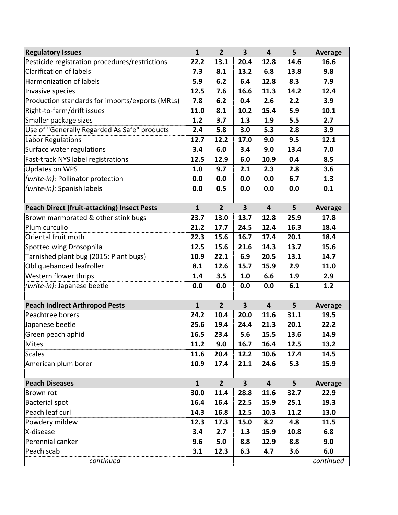| <b>Regulatory Issues</b>                           | $\mathbf{1}$ | $\overline{2}$ | $\overline{\mathbf{3}}$ | 4                       | 5    | Average        |
|----------------------------------------------------|--------------|----------------|-------------------------|-------------------------|------|----------------|
| Pesticide registration procedures/restrictions     | 22.2         | 13.1           | 20.4                    | 12.8                    | 14.6 | 16.6           |
| <b>Clarification of labels</b>                     | 7.3          | 8.1            | 13.2                    | 6.8                     | 13.8 | 9.8            |
| Harmonization of labels                            | 5.9          | 6.2            | 6.4                     | 12.8                    | 8.3  | 7.9            |
| Invasive species                                   | 12.5         | 7.6            | 16.6                    | 11.3                    | 14.2 | 12.4           |
| Production standards for imports/exports (MRLs)    | 7.8          | 6.2            | 0.4                     | 2.6                     | 2.2  | 3.9            |
| Right-to-farm/drift issues                         | 11.0         | 8.1            | 10.2                    | 15.4                    | 5.9  | 10.1           |
| Smaller package sizes                              | 1.2          | 3.7            | 1.3                     | 1.9                     | 5.5  | 2.7            |
| Use of "Generally Regarded As Safe" products       | 2.4          | 5.8            | 3.0                     | 5.3                     | 2.8  | 3.9            |
| Labor Regulations                                  | 12.7         | 12.2           | 17.0                    | 9.0                     | 9.5  | 12.1           |
| Surface water regulations                          | 3.4          | 6.0            | 3.4                     | 9.0                     | 13.4 | 7.0            |
| Fast-track NYS label registrations                 | 12.5         | 12.9           | 6.0                     | 10.9                    | 0.4  | 8.5            |
| <b>Updates on WPS</b>                              | 1.0          | 9.7            | 2.1                     | 2.3                     | 2.8  | 3.6            |
| (write-in): Pollinator protection                  | 0.0          | 0.0            | 0.0                     | 0.0                     | 6.7  | 1.3            |
| (write-in): Spanish labels                         | 0.0          | 0.5            | 0.0                     | 0.0                     | 0.0  | 0.1            |
|                                                    |              |                |                         |                         |      |                |
| <b>Peach Direct (fruit-attacking) Insect Pests</b> | $\mathbf{1}$ | $\overline{2}$ | 3                       | $\overline{\mathbf{4}}$ | 5    | Average        |
| Brown marmorated & other stink bugs                | 23.7         | 13.0           | 13.7                    | 12.8                    | 25.9 | 17.8           |
| Plum curculio                                      | 21.2         | 17.7           | 24.5                    | 12.4                    | 16.3 | 18.4           |
| Oriental fruit moth                                | 22.3         | 15.6           | 16.7                    | 17.4                    | 20.1 | 18.4           |
| Spotted wing Drosophila                            | 12.5         | 15.6           | 21.6                    | 14.3                    | 13.7 | 15.6           |
| Tarnished plant bug (2015: Plant bugs)             | 10.9         | 22.1           | 6.9                     | 20.5                    | 13.1 | 14.7           |
| Obliquebanded leafroller                           | 8.1          | 12.6           | 15.7                    | 15.9                    | 2.9  | 11.0           |
| Western flower thrips                              | 1.4          | 3.5            | 1.0                     | 6.6                     | 1.9  | 2.9            |
| (write-in): Japanese beetle                        | 0.0          | 0.0            | 0.0                     | 0.0                     | 6.1  | 1.2            |
|                                                    |              |                |                         |                         |      |                |
| <b>Peach Indirect Arthropod Pests</b>              | $\mathbf{1}$ | $\overline{2}$ | 3                       | $\overline{\mathbf{4}}$ | 5    | <b>Average</b> |
| Peachtree borers                                   | 24.2         | 10.4           | 20.0                    | 11.6                    | 31.1 | 19.5           |
| Japanese beetle                                    | 25.6         | 19.4           | 24.4                    | 21.3                    | 20.1 | 22.2           |
| Green peach aphid                                  | 16.5         | 23.4           | 5.6                     | 15.5                    | 13.6 | 14.9           |
| Mites                                              | 11.2         | 9.0            | 16.7                    | 16.4                    | 12.5 | 13.2           |
| <b>Scales</b>                                      | 11.6         | 20.4           | 12.2                    | 10.6                    | 17.4 | 14.5           |
| American plum borer                                | 10.9         | 17.4           | 21.1                    | 24.6                    | 5.3  | 15.9           |
|                                                    |              |                |                         |                         |      |                |
| <b>Peach Diseases</b>                              | $\mathbf{1}$ | $\overline{2}$ | 3                       | $\overline{\mathbf{4}}$ | 5    | <b>Average</b> |
| Brown rot                                          | 30.0         | 11.4           | 28.8                    | 11.6                    | 32.7 | 22.9           |
| <b>Bacterial spot</b>                              | 16.4         | 16.4           | 22.5                    | 15.9                    | 25.1 | 19.3           |
| Peach leaf curl                                    | 14.3         | 16.8           | 12.5                    | 10.3                    | 11.2 | 13.0           |
| Powdery mildew                                     | 12.3         | 17.3           | 15.0                    | 8.2                     | 4.8  | 11.5           |
| X-disease                                          | 3.4          | 2.7            | 1.3                     | 15.9                    | 10.8 | 6.8            |
| Perennial canker                                   | 9.6          | 5.0            | 8.8                     | 12.9                    | 8.8  | 9.0            |
| Peach scab                                         | 3.1          | 12.3           | 6.3                     | 4.7                     | 3.6  | 6.0            |
| continued                                          |              |                |                         |                         |      | continued      |